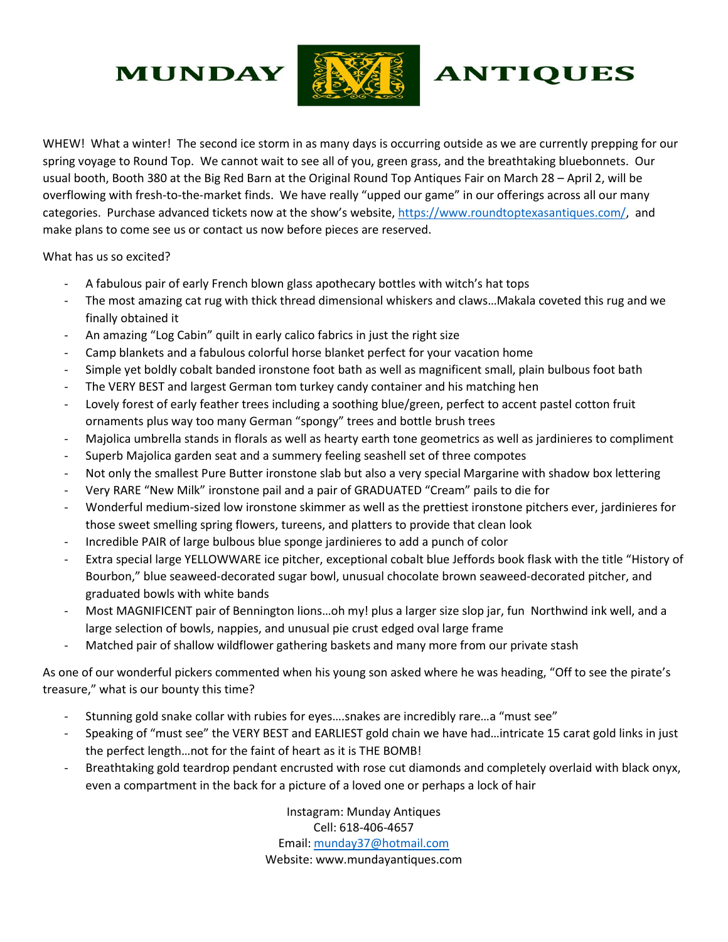## **MUNDAY**



## **ANTIQUES**

WHEW! What a winter! The second ice storm in as many days is occurring outside as we are currently prepping for our spring voyage to Round Top. We cannot wait to see all of you, green grass, and the breathtaking bluebonnets. Our usual booth, Booth 380 at the Big Red Barn at the Original Round Top Antiques Fair on March 28 – April 2, will be overflowing with fresh-to-the-market finds. We have really "upped our game" in our offerings across all our many categories. Purchase advanced tickets now at the show's website, [https://www.roundtoptexasantiques.com/,](https://www.roundtoptexasantiques.com/) and make plans to come see us or contact us now before pieces are reserved.

What has us so excited?

- A fabulous pair of early French blown glass apothecary bottles with witch's hat tops
- The most amazing cat rug with thick thread dimensional whiskers and claws...Makala coveted this rug and we finally obtained it
- An amazing "Log Cabin" quilt in early calico fabrics in just the right size
- Camp blankets and a fabulous colorful horse blanket perfect for your vacation home
- Simple yet boldly cobalt banded ironstone foot bath as well as magnificent small, plain bulbous foot bath
- The VERY BEST and largest German tom turkey candy container and his matching hen
- Lovely forest of early feather trees including a soothing blue/green, perfect to accent pastel cotton fruit ornaments plus way too many German "spongy" trees and bottle brush trees
- Majolica umbrella stands in florals as well as hearty earth tone geometrics as well as jardinieres to compliment
- Superb Majolica garden seat and a summery feeling seashell set of three compotes
- Not only the smallest Pure Butter ironstone slab but also a very special Margarine with shadow box lettering
- Very RARE "New Milk" ironstone pail and a pair of GRADUATED "Cream" pails to die for
- Wonderful medium-sized low ironstone skimmer as well as the prettiest ironstone pitchers ever, jardinieres for those sweet smelling spring flowers, tureens, and platters to provide that clean look
- Incredible PAIR of large bulbous blue sponge jardinieres to add a punch of color
- Extra special large YELLOWWARE ice pitcher, exceptional cobalt blue Jeffords book flask with the title "History of Bourbon," blue seaweed-decorated sugar bowl, unusual chocolate brown seaweed-decorated pitcher, and graduated bowls with white bands
- Most MAGNIFICENT pair of Bennington lions…oh my! plus a larger size slop jar, fun Northwind ink well, and a large selection of bowls, nappies, and unusual pie crust edged oval large frame
- Matched pair of shallow wildflower gathering baskets and many more from our private stash

As one of our wonderful pickers commented when his young son asked where he was heading, "Off to see the pirate's treasure," what is our bounty this time?

- Stunning gold snake collar with rubies for eyes….snakes are incredibly rare…a "must see"
- Speaking of "must see" the VERY BEST and EARLIEST gold chain we have had…intricate 15 carat gold links in just the perfect length…not for the faint of heart as it is THE BOMB!
- Breathtaking gold teardrop pendant encrusted with rose cut diamonds and completely overlaid with black onyx, even a compartment in the back for a picture of a loved one or perhaps a lock of hair

Instagram: Munday Antiques Cell: 618-406-4657 Email: [munday37@hotmail.com](mailto:munday37@hotmail.com) Website: www.mundayantiques.com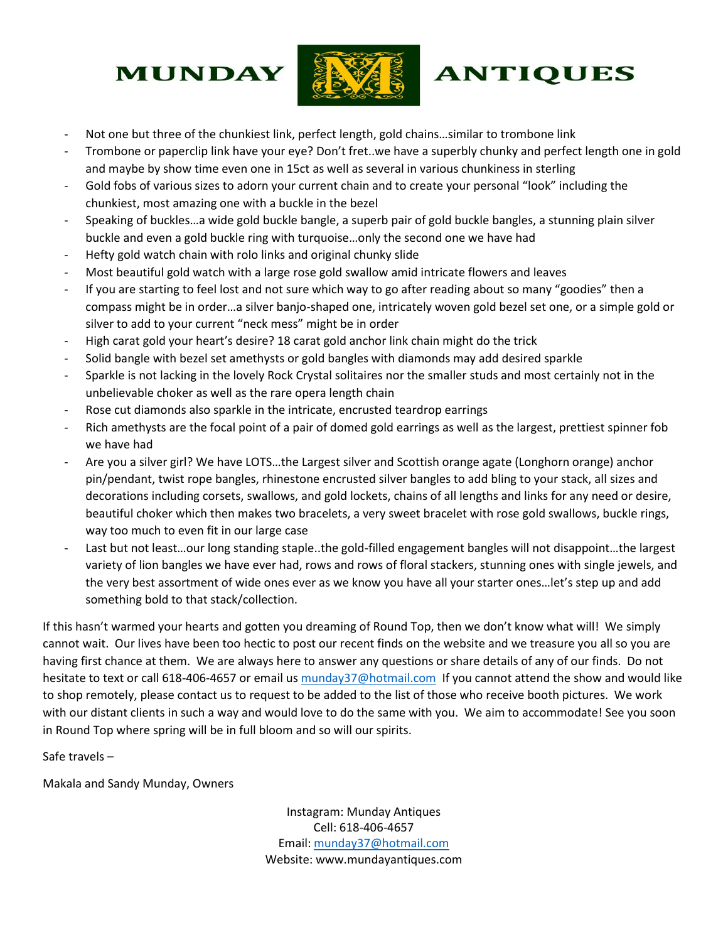## **MUNDAY**



## **ANTIQUES**

- Not one but three of the chunkiest link, perfect length, gold chains…similar to trombone link
- Trombone or paperclip link have your eye? Don't fret..we have a superbly chunky and perfect length one in gold and maybe by show time even one in 15ct as well as several in various chunkiness in sterling
- Gold fobs of various sizes to adorn your current chain and to create your personal "look" including the chunkiest, most amazing one with a buckle in the bezel
- Speaking of buckles…a wide gold buckle bangle, a superb pair of gold buckle bangles, a stunning plain silver buckle and even a gold buckle ring with turquoise…only the second one we have had
- Hefty gold watch chain with rolo links and original chunky slide
- Most beautiful gold watch with a large rose gold swallow amid intricate flowers and leaves
- If you are starting to feel lost and not sure which way to go after reading about so many "goodies" then a compass might be in order…a silver banjo-shaped one, intricately woven gold bezel set one, or a simple gold or silver to add to your current "neck mess" might be in order
- High carat gold your heart's desire? 18 carat gold anchor link chain might do the trick
- Solid bangle with bezel set amethysts or gold bangles with diamonds may add desired sparkle
- Sparkle is not lacking in the lovely Rock Crystal solitaires nor the smaller studs and most certainly not in the unbelievable choker as well as the rare opera length chain
- Rose cut diamonds also sparkle in the intricate, encrusted teardrop earrings
- Rich amethysts are the focal point of a pair of domed gold earrings as well as the largest, prettiest spinner fob we have had
- Are you a silver girl? We have LOTS…the Largest silver and Scottish orange agate (Longhorn orange) anchor pin/pendant, twist rope bangles, rhinestone encrusted silver bangles to add bling to your stack, all sizes and decorations including corsets, swallows, and gold lockets, chains of all lengths and links for any need or desire, beautiful choker which then makes two bracelets, a very sweet bracelet with rose gold swallows, buckle rings, way too much to even fit in our large case
- Last but not least…our long standing staple..the gold-filled engagement bangles will not disappoint…the largest variety of lion bangles we have ever had, rows and rows of floral stackers, stunning ones with single jewels, and the very best assortment of wide ones ever as we know you have all your starter ones…let's step up and add something bold to that stack/collection.

If this hasn't warmed your hearts and gotten you dreaming of Round Top, then we don't know what will! We simply cannot wait. Our lives have been too hectic to post our recent finds on the website and we treasure you all so you are having first chance at them. We are always here to answer any questions or share details of any of our finds. Do not hesitate to text or call 618-406-4657 or email us [munday37@hotmail.com](mailto:munday37@hotmail.com) If you cannot attend the show and would like to shop remotely, please contact us to request to be added to the list of those who receive booth pictures. We work with our distant clients in such a way and would love to do the same with you. We aim to accommodate! See you soon in Round Top where spring will be in full bloom and so will our spirits.

Safe travels –

Makala and Sandy Munday, Owners

Instagram: Munday Antiques Cell: 618-406-4657 Email: [munday37@hotmail.com](mailto:munday37@hotmail.com) Website: www.mundayantiques.com